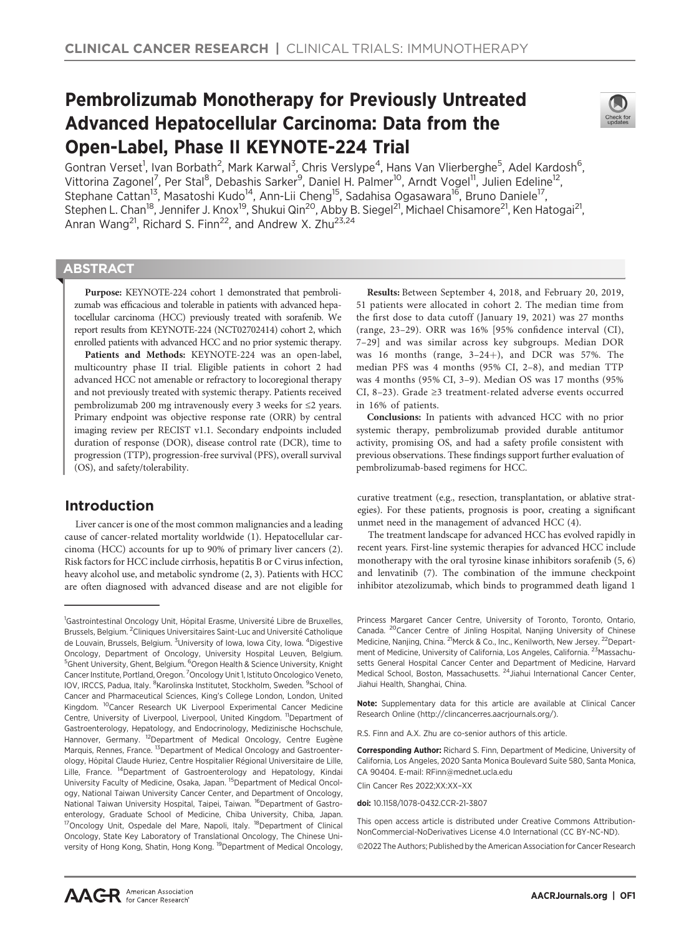# Pembrolizumab Monotherapy for Previously Untreated Advanced Hepatocellular Carcinoma: Data from the Open-Label, Phase II KEYNOTE-224 Trial



Gontran Verset<sup>1</sup>, Ivan Borbath<sup>2</sup>, Mark Karwal<sup>3</sup>, Chris Verslype<sup>4</sup>, Hans Van Vlierberghe<sup>5</sup>, Adel Kardosh<sup>6</sup>, Vittorina Zagonel<sup>7</sup>, Per Stal<sup>8</sup>, Debashis Sarker<sup>9</sup>, Daniel H. Palmer<sup>10</sup>, Arndt Vogel<sup>11</sup>, Julien Edeline<sup>12</sup>, Stephane Cattan<sup>13</sup>, Masatoshi Kudo<sup>14</sup>, Ann-Lii Cheng<sup>15</sup>, Sadahisa Ogasawara<sup>16</sup>, Bruno Daniele<sup>17</sup>, Stephen L. Chan<sup>18</sup>, Jennifer J. Knox<sup>19</sup>, Shukui Qin<sup>20</sup>, Abby B. Siegel<sup>21</sup>, Michael Chisamore<sup>21</sup>, Ken Hatogai<sup>21</sup>, Anran Wang<sup>21</sup>, Richard S. Finn<sup>22</sup>, and Andrew X. Zhu<sup>23,24</sup>

# **ABSTRACT**

◥

Purpose: KEYNOTE-224 cohort 1 demonstrated that pembrolizumab was efficacious and tolerable in patients with advanced hepatocellular carcinoma (HCC) previously treated with sorafenib. We report results from KEYNOTE-224 (NCT02702414) cohort 2, which enrolled patients with advanced HCC and no prior systemic therapy.

Patients and Methods: KEYNOTE-224 was an open-label, multicountry phase II trial. Eligible patients in cohort 2 had advanced HCC not amenable or refractory to locoregional therapy and not previously treated with systemic therapy. Patients received pembrolizumab 200 mg intravenously every 3 weeks for ≤2 years. Primary endpoint was objective response rate (ORR) by central imaging review per RECIST v1.1. Secondary endpoints included duration of response (DOR), disease control rate (DCR), time to progression (TTP), progression-free survival (PFS), overall survival (OS), and safety/tolerability.

# Introduction

Liver cancer is one of the most common malignancies and a leading cause of cancer-related mortality worldwide (1). Hepatocellular carcinoma (HCC) accounts for up to 90% of primary liver cancers (2). Risk factors for HCC include cirrhosis, hepatitis B or C virus infection, heavy alcohol use, and metabolic syndrome (2, 3). Patients with HCC are often diagnosed with advanced disease and are not eligible for

Results: Between September 4, 2018, and February 20, 2019, 51 patients were allocated in cohort 2. The median time from the first dose to data cutoff (January 19, 2021) was 27 months (range, 23–29). ORR was 16% [95% confidence interval (CI), 7–29] and was similar across key subgroups. Median DOR was 16 months (range,  $3-24+$ ), and DCR was 57%. The median PFS was 4 months (95% CI, 2–8), and median TTP was 4 months (95% CI, 3–9). Median OS was 17 months (95% CI, 8–23). Grade ≥3 treatment-related adverse events occurred in 16% of patients.

Conclusions: In patients with advanced HCC with no prior systemic therapy, pembrolizumab provided durable antitumor activity, promising OS, and had a safety profile consistent with previous observations. These findings support further evaluation of pembrolizumab-based regimens for HCC.

curative treatment (e.g., resection, transplantation, or ablative strategies). For these patients, prognosis is poor, creating a significant unmet need in the management of advanced HCC (4).

The treatment landscape for advanced HCC has evolved rapidly in recent years. First-line systemic therapies for advanced HCC include monotherapy with the oral tyrosine kinase inhibitors sorafenib (5, 6) and lenvatinib (7). The combination of the immune checkpoint inhibitor atezolizumab, which binds to programmed death ligand 1

Note: Supplementary data for this article are available at Clinical Cancer Research Online (http://clincancerres.aacrjournals.org/).

R.S. Finn and A.X. Zhu are co-senior authors of this article.

Corresponding Author: Richard S. Finn, Department of Medicine, University of California, Los Angeles, 2020 Santa Monica Boulevard Suite 580, Santa Monica, CA 90404. E-mail: RFinn@mednet.ucla.edu

Clin Cancer Res 2022;XX:XX–XX

doi: 10.1158/1078-0432.CCR-21-3807

This open access article is distributed under Creative Commons Attribution-NonCommercial-NoDerivatives License 4.0 International (CC BY-NC-ND).

2022 The Authors; Published by the American Association for Cancer Research

<sup>&</sup>lt;sup>1</sup>Gastrointestinal Oncology Unit, Hôpital Erasme, Université Libre de Bruxelles, Brussels, Belgium. <sup>2</sup>Cliniques Universitaires Saint-Luc and Université Catholique de Louvain, Brussels, Belgium. <sup>3</sup>University of Iowa, Iowa City, Iowa. <sup>4</sup>Digestive Oncology, Department of Oncology, University Hospital Leuven, Belgium. <sup>5</sup>Ghent University, Ghent, Belgium. <sup>6</sup>Oregon Health & Science University, Knight Cancer Institute, Portland, Oregon. <sup>7</sup>Oncology Unit 1, Istituto Oncologico Veneto, IOV, IRCCS, Padua, Italy. <sup>8</sup>Karolinska Institutet, Stockholm, Sweden. <sup>9</sup>School of Cancer and Pharmaceutical Sciences, King's College London, London, United Kingdom. <sup>10</sup>Cancer Research UK Liverpool Experimental Cancer Medicine Centre, University of Liverpool, Liverpool, United Kingdom. <sup>11</sup>Department of Gastroenterology, Hepatology, and Endocrinology, Medizinische Hochschule, Hannover, Germany. <sup>12</sup>Department of Medical Oncology, Centre Eugène Marquis, Rennes, France. <sup>13</sup>Department of Medical Oncology and Gastroenterology, Hôpital Claude Huriez, Centre Hospitalier Régional Universitaire de Lille, Lille, France. 14Department of Gastroenterology and Hepatology, Kindai University Faculty of Medicine, Osaka, Japan. 15Department of Medical Oncology, National Taiwan University Cancer Center, and Department of Oncology, National Taiwan University Hospital, Taipei, Taiwan. <sup>16</sup>Department of Gastroenterology, Graduate School of Medicine, Chiba University, Chiba, Japan. <sup>17</sup>Oncology Unit, Ospedale del Mare, Napoli, Italy. <sup>18</sup>Department of Clinical Oncology, State Key Laboratory of Translational Oncology, The Chinese University of Hong Kong, Shatin, Hong Kong. <sup>19</sup>Department of Medical Oncology,

Princess Margaret Cancer Centre, University of Toronto, Toronto, Ontario, Canada. 20Cancer Centre of Jinling Hospital, Nanjing University of Chinese Medicine, Nanjing, China. <sup>21</sup>Merck & Co., Inc., Kenilworth, New Jersey. <sup>22</sup>Department of Medicine, University of California, Los Angeles, California. <sup>23</sup>Massachusetts General Hospital Cancer Center and Department of Medicine, Harvard Medical School, Boston, Massachusetts. 24Jiahui International Cancer Center, Jiahui Health, Shanghai, China.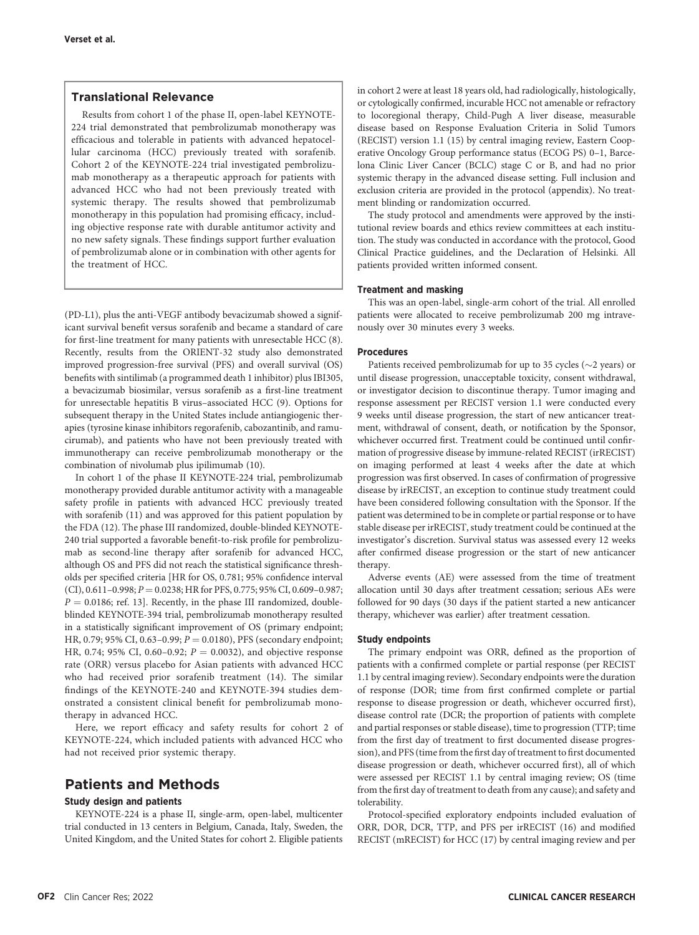# Translational Relevance

Results from cohort 1 of the phase II, open-label KEYNOTE-224 trial demonstrated that pembrolizumab monotherapy was efficacious and tolerable in patients with advanced hepatocellular carcinoma (HCC) previously treated with sorafenib. Cohort 2 of the KEYNOTE-224 trial investigated pembrolizumab monotherapy as a therapeutic approach for patients with advanced HCC who had not been previously treated with systemic therapy. The results showed that pembrolizumab monotherapy in this population had promising efficacy, including objective response rate with durable antitumor activity and no new safety signals. These findings support further evaluation of pembrolizumab alone or in combination with other agents for the treatment of HCC.

(PD-L1), plus the anti-VEGF antibody bevacizumab showed a significant survival benefit versus sorafenib and became a standard of care for first-line treatment for many patients with unresectable HCC (8). Recently, results from the ORIENT-32 study also demonstrated improved progression-free survival (PFS) and overall survival (OS) benefits with sintilimab (a programmed death 1 inhibitor) plus IBI305, a bevacizumab biosimilar, versus sorafenib as a first-line treatment for unresectable hepatitis B virus–associated HCC (9). Options for subsequent therapy in the United States include antiangiogenic therapies (tyrosine kinase inhibitors regorafenib, cabozantinib, and ramucirumab), and patients who have not been previously treated with immunotherapy can receive pembrolizumab monotherapy or the combination of nivolumab plus ipilimumab (10).

In cohort 1 of the phase II KEYNOTE-224 trial, pembrolizumab monotherapy provided durable antitumor activity with a manageable safety profile in patients with advanced HCC previously treated with sorafenib (11) and was approved for this patient population by the FDA (12). The phase III randomized, double-blinded KEYNOTE-240 trial supported a favorable benefit-to-risk profile for pembrolizumab as second-line therapy after sorafenib for advanced HCC, although OS and PFS did not reach the statistical significance thresholds per specified criteria [HR for OS, 0.781; 95% confidence interval  $(CI)$ , 0.611-0.998;  $P = 0.0238$ ; HR for PFS, 0.775; 95% CI, 0.609-0.987;  $P = 0.0186$ ; ref. 13]. Recently, in the phase III randomized, doubleblinded KEYNOTE-394 trial, pembrolizumab monotherapy resulted in a statistically significant improvement of OS (primary endpoint; HR, 0.79; 95% CI, 0.63-0.99;  $P = 0.0180$ ), PFS (secondary endpoint; HR, 0.74; 95% CI, 0.60–0.92;  $P = 0.0032$ ), and objective response rate (ORR) versus placebo for Asian patients with advanced HCC who had received prior sorafenib treatment (14). The similar findings of the KEYNOTE-240 and KEYNOTE-394 studies demonstrated a consistent clinical benefit for pembrolizumab monotherapy in advanced HCC.

Here, we report efficacy and safety results for cohort 2 of KEYNOTE-224, which included patients with advanced HCC who had not received prior systemic therapy.

# Patients and Methods

## Study design and patients

KEYNOTE-224 is a phase II, single-arm, open-label, multicenter trial conducted in 13 centers in Belgium, Canada, Italy, Sweden, the United Kingdom, and the United States for cohort 2. Eligible patients in cohort 2 were at least 18 years old, had radiologically, histologically, or cytologically confirmed, incurable HCC not amenable or refractory to locoregional therapy, Child-Pugh A liver disease, measurable disease based on Response Evaluation Criteria in Solid Tumors (RECIST) version 1.1 (15) by central imaging review, Eastern Cooperative Oncology Group performance status (ECOG PS) 0–1, Barcelona Clinic Liver Cancer (BCLC) stage C or B, and had no prior systemic therapy in the advanced disease setting. Full inclusion and exclusion criteria are provided in the protocol (appendix). No treatment blinding or randomization occurred.

The study protocol and amendments were approved by the institutional review boards and ethics review committees at each institution. The study was conducted in accordance with the protocol, Good Clinical Practice guidelines, and the Declaration of Helsinki. All patients provided written informed consent.

## Treatment and masking

This was an open-label, single-arm cohort of the trial. All enrolled patients were allocated to receive pembrolizumab 200 mg intravenously over 30 minutes every 3 weeks.

# Procedures

Patients received pembrolizumab for up to 35 cycles ( $\sim$ 2 years) or until disease progression, unacceptable toxicity, consent withdrawal, or investigator decision to discontinue therapy. Tumor imaging and response assessment per RECIST version 1.1 were conducted every 9 weeks until disease progression, the start of new anticancer treatment, withdrawal of consent, death, or notification by the Sponsor, whichever occurred first. Treatment could be continued until confirmation of progressive disease by immune-related RECIST (irRECIST) on imaging performed at least 4 weeks after the date at which progression was first observed. In cases of confirmation of progressive disease by irRECIST, an exception to continue study treatment could have been considered following consultation with the Sponsor. If the patient was determined to be in complete or partial response or to have stable disease per irRECIST, study treatment could be continued at the investigator's discretion. Survival status was assessed every 12 weeks after confirmed disease progression or the start of new anticancer therapy.

Adverse events (AE) were assessed from the time of treatment allocation until 30 days after treatment cessation; serious AEs were followed for 90 days (30 days if the patient started a new anticancer therapy, whichever was earlier) after treatment cessation.

# Study endpoints

The primary endpoint was ORR, defined as the proportion of patients with a confirmed complete or partial response (per RECIST 1.1 by central imaging review). Secondary endpoints were the duration of response (DOR; time from first confirmed complete or partial response to disease progression or death, whichever occurred first), disease control rate (DCR; the proportion of patients with complete and partial responses or stable disease), time to progression (TTP; time from the first day of treatment to first documented disease progression), and PFS (time from the first day of treatment to first documented disease progression or death, whichever occurred first), all of which were assessed per RECIST 1.1 by central imaging review; OS (time from the first day of treatment to death from any cause); and safety and tolerability.

Protocol-specified exploratory endpoints included evaluation of ORR, DOR, DCR, TTP, and PFS per irRECIST (16) and modified RECIST (mRECIST) for HCC (17) by central imaging review and per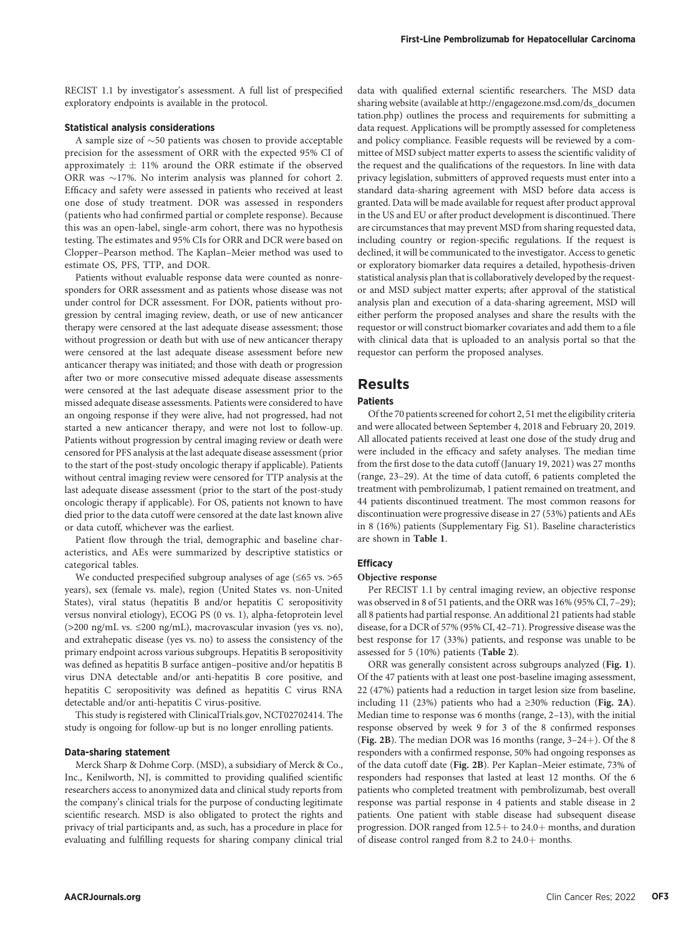RECIST 1.1 by investigator's assessment. A full list of prespecified exploratory endpoints is available in the protocol.

#### Statistical analysis considerations

A sample size of  $\sim$  50 patients was chosen to provide acceptable precision for the assessment of ORR with the expected 95% CI of approximately  $\pm$  11% around the ORR estimate if the observed ORR was  $\sim$ 17%. No interim analysis was planned for cohort 2. Efficacy and safety were assessed in patients who received at least one dose of study treatment. DOR was assessed in responders (patients who had confirmed partial or complete response). Because this was an open-label, single-arm cohort, there was no hypothesis testing. The estimates and 95% CIs for ORR and DCR were based on Clopper–Pearson method. The Kaplan–Meier method was used to estimate OS, PFS, TTP, and DOR.

Patients without evaluable response data were counted as nonresponders for ORR assessment and as patients whose disease was not under control for DCR assessment. For DOR, patients without progression by central imaging review, death, or use of new anticancer therapy were censored at the last adequate disease assessment; those without progression or death but with use of new anticancer therapy were censored at the last adequate disease assessment before new anticancer therapy was initiated; and those with death or progression after two or more consecutive missed adequate disease assessments were censored at the last adequate disease assessment prior to the missed adequate disease assessments. Patients were considered to have an ongoing response if they were alive, had not progressed, had not started a new anticancer therapy, and were not lost to follow-up. Patients without progression by central imaging review or death were censored for PFS analysis at the last adequate disease assessment (prior to the start of the post-study oncologic therapy if applicable). Patients without central imaging review were censored for TTP analysis at the last adequate disease assessment (prior to the start of the post-study oncologic therapy if applicable). For OS, patients not known to have died prior to the data cutoff were censored at the date last known alive or data cutoff, whichever was the earliest.

Patient flow through the trial, demographic and baseline characteristics, and AEs were summarized by descriptive statistics or categorical tables.

We conducted prespecified subgroup analyses of age (≤65 vs. >65 years), sex (female vs. male), region (United States vs. non-United States), viral status (hepatitis B and/or hepatitis C seropositivity versus nonviral etiology), ECOG PS (0 vs. 1), alpha-fetoprotein level (>200 ng/mL vs. ≤200 ng/mL), macrovascular invasion (yes vs. no), and extrahepatic disease (yes vs. no) to assess the consistency of the primary endpoint across various subgroups. Hepatitis B seropositivity was defined as hepatitis B surface antigen–positive and/or hepatitis B virus DNA detectable and/or anti-hepatitis B core positive, and hepatitis C seropositivity was defined as hepatitis C virus RNA detectable and/or anti-hepatitis C virus-positive.

This study is registered with ClinicalTrials.gov, NCT02702414. The study is ongoing for follow-up but is no longer enrolling patients.

# Data-sharing statement

Merck Sharp & Dohme Corp. (MSD), a subsidiary of Merck & Co., Inc., Kenilworth, NJ, is committed to providing qualified scientific researchers access to anonymized data and clinical study reports from the company's clinical trials for the purpose of conducting legitimate scientific research. MSD is also obligated to protect the rights and privacy of trial participants and, as such, has a procedure in place for evaluating and fulfilling requests for sharing company clinical trial data with qualified external scientific researchers. The MSD data sharing website (available at [http://engagezone.msd.com/ds\\_documen](http://engagezone.msd.com/ds_documentation.php) [tation.php](http://engagezone.msd.com/ds_documentation.php)) outlines the process and requirements for submitting a data request. Applications will be promptly assessed for completeness and policy compliance. Feasible requests will be reviewed by a committee of MSD subject matter experts to assess the scientific validity of the request and the qualifications of the requestors. In line with data privacy legislation, submitters of approved requests must enter into a standard data-sharing agreement with MSD before data access is granted. Data will be made available for request after product approval in the US and EU or after product development is discontinued. There are circumstances that may prevent MSD from sharing requested data, including country or region-specific regulations. If the request is declined, it will be communicated to the investigator. Access to genetic or exploratory biomarker data requires a detailed, hypothesis-driven statistical analysis plan that is collaboratively developed by the requestor and MSD subject matter experts; after approval of the statistical analysis plan and execution of a data-sharing agreement, MSD will either perform the proposed analyses and share the results with the requestor or will construct biomarker covariates and add them to a file with clinical data that is uploaded to an analysis portal so that the requestor can perform the proposed analyses.

# Results

## Patients

Of the 70 patients screened for cohort 2, 51 met the eligibility criteria and were allocated between September 4, 2018 and February 20, 2019. All allocated patients received at least one dose of the study drug and were included in the efficacy and safety analyses. The median time from the first dose to the data cutoff (January 19, 2021) was 27 months (range, 23–29). At the time of data cutoff, 6 patients completed the treatment with pembrolizumab, 1 patient remained on treatment, and 44 patients discontinued treatment. The most common reasons for discontinuation were progressive disease in 27 (53%) patients and AEs in 8 (16%) patients (Supplementary Fig. S1). Baseline characteristics are shown in Table 1.

## **Efficacy**

# Objective response

Per RECIST 1.1 by central imaging review, an objective response was observed in 8 of 51 patients, and the ORR was 16% (95% CI, 7–29); all 8 patients had partial response. An additional 21 patients had stable disease, for a DCR of 57% (95% CI, 42–71). Progressive disease was the best response for 17 (33%) patients, and response was unable to be assessed for 5 (10%) patients (Table 2).

ORR was generally consistent across subgroups analyzed (Fig. 1). Of the 47 patients with at least one post-baseline imaging assessment, 22 (47%) patients had a reduction in target lesion size from baseline, including 11 (23%) patients who had a ≥30% reduction (Fig. 2A). Median time to response was 6 months (range, 2–13), with the initial response observed by week 9 for 3 of the 8 confirmed responses (Fig. 2B). The median DOR was 16 months (range,  $3-24+$ ). Of the 8 responders with a confirmed response, 50% had ongoing responses as of the data cutoff date (Fig. 2B). Per Kaplan–Meier estimate, 73% of responders had responses that lasted at least 12 months. Of the 6 patients who completed treatment with pembrolizumab, best overall response was partial response in 4 patients and stable disease in 2 patients. One patient with stable disease had subsequent disease progression. DOR ranged from 12.5+ to 24.0+ months, and duration of disease control ranged from 8.2 to  $24.0+$  months.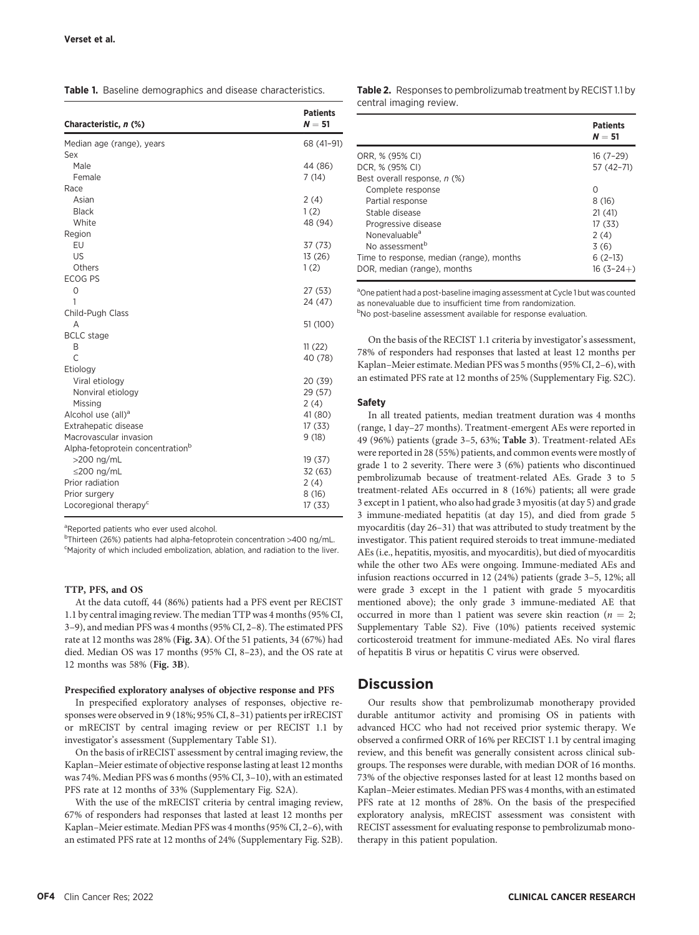Table 1. Baseline demographics and disease characteristics.

| Characteristic, n (%)                        | <b>Patients</b><br>$N = 51$ |
|----------------------------------------------|-----------------------------|
| Median age (range), years                    | 68 (41-91)                  |
| Sex                                          |                             |
| Male                                         | 44 (86)                     |
| Female                                       | 7(14)                       |
| Race                                         |                             |
| Asian                                        | 2(4)                        |
| <b>Black</b>                                 | 1(2)                        |
| White                                        | 48 (94)                     |
| Region                                       |                             |
| EU                                           | 37(73)                      |
| US                                           | 13(26)                      |
| Others                                       | 1(2)                        |
| <b>ECOG PS</b>                               |                             |
| 0                                            | 27 (53)                     |
| 1                                            | 24 (47)                     |
| Child-Pugh Class                             |                             |
| A                                            | 51 (100)                    |
| <b>BCLC</b> stage                            |                             |
| B                                            | 11(22)                      |
| $\overline{C}$                               | 40 (78)                     |
| Etiology                                     |                             |
| Viral etiology                               | 20 (39)                     |
| Nonviral etiology                            | 29 (57)                     |
| Missing                                      | 2(4)                        |
| Alcohol use (all) <sup>a</sup>               | 41 (80)                     |
| Extrahepatic disease                         | 17(33)                      |
| Macrovascular invasion                       | 9(18)                       |
| Alpha-fetoprotein concentration <sup>b</sup> |                             |
| $>200$ ng/mL                                 | 19(37)                      |
| $\leq$ 200 ng/mL                             | 32 (63)                     |
| Prior radiation                              | 2(4)                        |
| Prior surgery                                | 8(16)                       |
| Locoregional therapy <sup>c</sup>            | 17(33)                      |

<sup>a</sup>Reported patients who ever used alcohol.

<sup>b</sup>Thirteen (26%) patients had alpha-fetoprotein concentration >400 ng/mL. <sup>c</sup>Majority of which included embolization, ablation, and radiation to the liver.

## TTP, PFS, and OS

At the data cutoff, 44 (86%) patients had a PFS event per RECIST 1.1 by central imaging review. The median TTP was 4 months (95% CI, 3–9), and median PFS was 4 months (95% CI, 2–8). The estimated PFS rate at 12 months was 28% (Fig. 3A). Of the 51 patients, 34 (67%) had died. Median OS was 17 months (95% CI, 8–23), and the OS rate at 12 months was 58% (Fig. 3B).

# Prespecified exploratory analyses of objective response and PFS

In prespecified exploratory analyses of responses, objective responses were observed in 9 (18%; 95% CI, 8–31) patients per irRECIST or mRECIST by central imaging review or per RECIST 1.1 by investigator's assessment (Supplementary Table S1).

On the basis of irRECIST assessment by central imaging review, the Kaplan–Meier estimate of objective response lasting at least 12 months was 74%. Median PFS was 6 months (95% CI, 3–10), with an estimated PFS rate at 12 months of 33% (Supplementary Fig. S2A).

With the use of the mRECIST criteria by central imaging review, 67% of responders had responses that lasted at least 12 months per Kaplan–Meier estimate. Median PFS was 4 months (95% CI, 2–6), with an estimated PFS rate at 12 months of 24% (Supplementary Fig. S2B). Table 2. Responses to pembrolizumab treatment by RECIST 1.1 by central imaging review.

|                                          | <b>Patients</b><br>$N = 51$ |
|------------------------------------------|-----------------------------|
| ORR, % (95% CI)                          | $16(7-29)$                  |
| DCR, % (95% CI)                          | 57 (42-71)                  |
| Best overall response. n (%)             |                             |
| Complete response                        | ∩                           |
| Partial response                         | 8(16)                       |
| Stable disease                           | 21(41)                      |
| Progressive disease                      | 17 (33)                     |
| Nonevaluable <sup>a</sup>                | 2(4)                        |
| No assessment <sup>b</sup>               | 3(6)                        |
| Time to response, median (range), months | $6(2-13)$                   |
| DOR, median (range), months              | $16(3-24+)$                 |

<sup>a</sup>One patient had a post-baseline imaging assessment at Cycle 1 but was counted as nonevaluable due to insufficient time from randomization.

<sup>b</sup>No post-baseline assessment available for response evaluation.

On the basis of the RECIST 1.1 criteria by investigator's assessment, 78% of responders had responses that lasted at least 12 months per Kaplan–Meier estimate. Median PFS was 5 months (95% CI, 2–6), with an estimated PFS rate at 12 months of 25% (Supplementary Fig. S2C).

## Safety

In all treated patients, median treatment duration was 4 months (range, 1 day–27 months). Treatment-emergent AEs were reported in 49 (96%) patients (grade 3–5, 63%; Table 3). Treatment-related AEs were reported in 28 (55%) patients, and common events were mostly of grade 1 to 2 severity. There were 3 (6%) patients who discontinued pembrolizumab because of treatment-related AEs. Grade 3 to 5 treatment-related AEs occurred in 8 (16%) patients; all were grade 3 except in 1 patient, who also had grade 3 myositis (at day 5) and grade 3 immune-mediated hepatitis (at day 15), and died from grade 5 myocarditis (day 26–31) that was attributed to study treatment by the investigator. This patient required steroids to treat immune-mediated AEs (i.e., hepatitis, myositis, and myocarditis), but died of myocarditis while the other two AEs were ongoing. Immune-mediated AEs and infusion reactions occurred in 12 (24%) patients (grade 3–5, 12%; all were grade 3 except in the 1 patient with grade 5 myocarditis mentioned above); the only grade 3 immune-mediated AE that occurred in more than 1 patient was severe skin reaction ( $n = 2$ ; Supplementary Table S2). Five (10%) patients received systemic corticosteroid treatment for immune-mediated AEs. No viral flares of hepatitis B virus or hepatitis C virus were observed.

# **Discussion**

Our results show that pembrolizumab monotherapy provided durable antitumor activity and promising OS in patients with advanced HCC who had not received prior systemic therapy. We observed a confirmed ORR of 16% per RECIST 1.1 by central imaging review, and this benefit was generally consistent across clinical subgroups. The responses were durable, with median DOR of 16 months. 73% of the objective responses lasted for at least 12 months based on Kaplan–Meier estimates. Median PFS was 4 months, with an estimated PFS rate at 12 months of 28%. On the basis of the prespecified exploratory analysis, mRECIST assessment was consistent with RECIST assessment for evaluating response to pembrolizumab monotherapy in this patient population.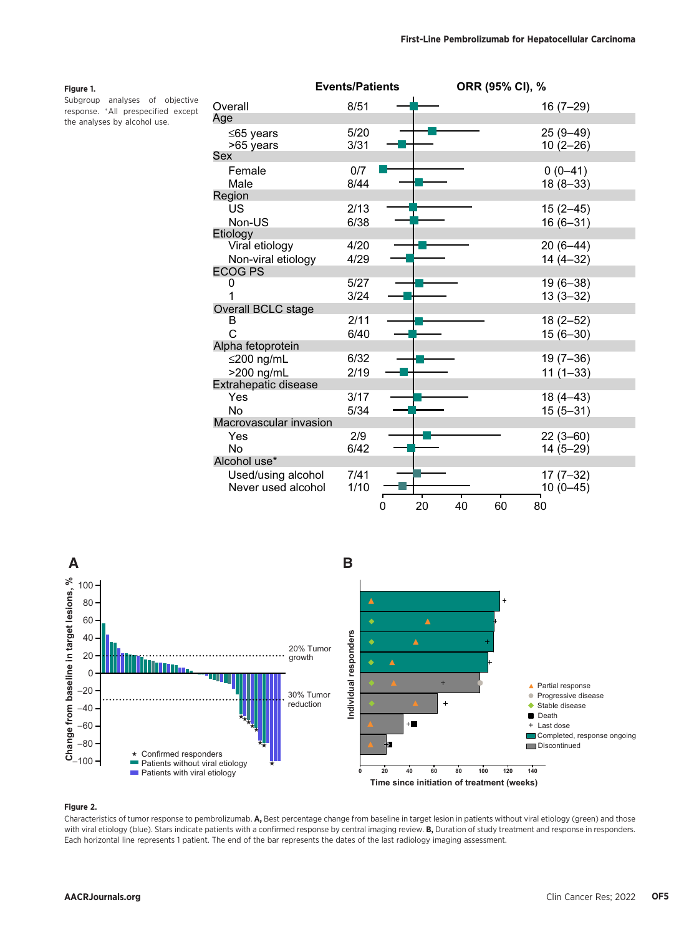# Figure 1.

Subgroup analyses of objective response. All prespecified except the analyses by alcohol use.

|                                          | <b>Events/Patients</b> |         | ORR (95% CI), % |                            |
|------------------------------------------|------------------------|---------|-----------------|----------------------------|
| Overall                                  | 8/51                   |         |                 | $16(7-29)$                 |
| Age                                      |                        |         |                 |                            |
| $≤65$ years<br>>65 years                 | 5/20<br>3/31           |         |                 | $25(9 - 49)$<br>$10(2-26)$ |
| Sex                                      |                        |         |                 |                            |
| Female<br>Male                           | 0/7<br>8/44            |         |                 | $0(0-41)$<br>$18(8-33)$    |
| Region                                   |                        |         |                 |                            |
| US<br>Non-US                             | 2/13<br>6/38           |         |                 | $15(2 - 45)$<br>$16(6-31)$ |
| Etiology                                 |                        |         |                 |                            |
| Viral etiology<br>Non-viral etiology     | 4/20<br>4/29           |         |                 | $20(6-44)$<br>$14(4-32)$   |
| <b>ECOG PS</b>                           |                        |         |                 |                            |
| 0                                        | 5/27<br>3/24           |         |                 | $19(6-38)$<br>$13(3-32)$   |
| Overall BCLC stage                       |                        |         |                 |                            |
| в                                        | 2/11                   |         |                 | $18(2 - 52)$               |
| Ċ                                        | 6/40                   |         |                 | $15(6-30)$                 |
| Alpha fetoprotein                        |                        |         |                 |                            |
| ≤200 ng/mL                               | 6/32                   |         |                 | $19(7-36)$                 |
| >200 ng/mL                               | 2/19                   |         |                 | $11(1-33)$                 |
| Extrahepatic disease                     |                        |         |                 |                            |
| Yes                                      | 3/17                   |         |                 | $18(4 - 43)$               |
| No                                       | 5/34                   |         |                 | $15(5 - 31)$               |
| Macrovascular invasion                   |                        |         |                 |                            |
| Yes                                      | 2/9                    |         |                 | $22(3 - 60)$               |
| No                                       | 6/42                   |         |                 | $14(5-29)$                 |
| Alcohol use*                             |                        |         |                 |                            |
| Used/using alcohol<br>Never used alcohol | 7/41<br>1/10           |         |                 | $17(7-32)$<br>$10(0-45)$   |
|                                          |                        | 20<br>0 | 60<br>40        | 80                         |



## Figure 2.

Characteristics of tumor response to pembrolizumab. A, Best percentage change from baseline in target lesion in patients without viral etiology (green) and those with viral etiology (blue). Stars indicate patients with a confirmed response by central imaging review. B, Duration of study treatment and response in responders. Each horizontal line represents 1 patient. The end of the bar represents the dates of the last radiology imaging assessment.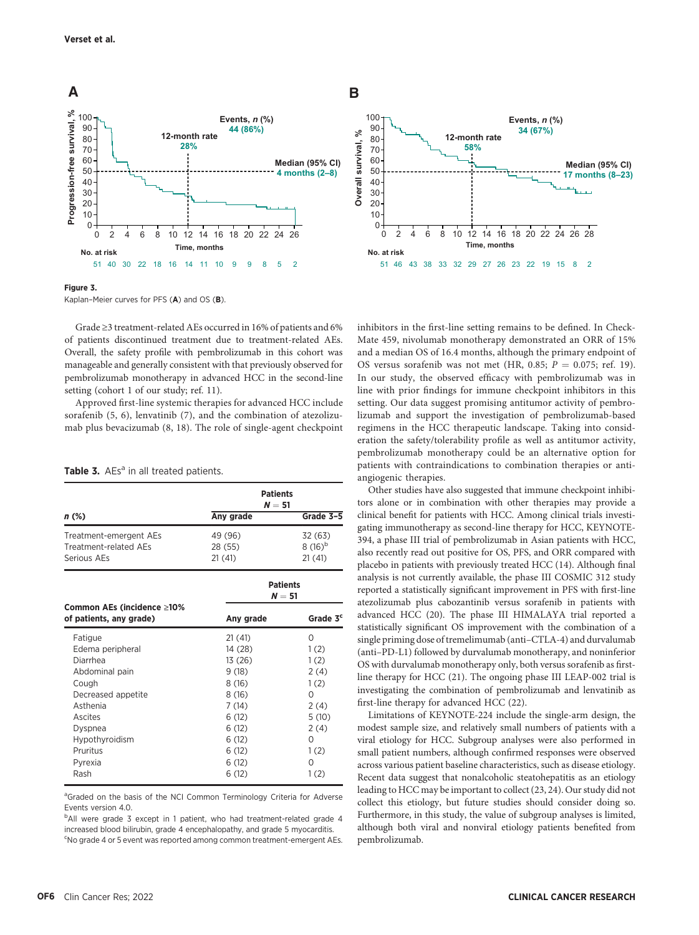

#### Figure 3.

Kaplan–Meier curves for PFS (A) and OS (B).

Grade ≥3 treatment-related AEs occurred in 16% of patients and 6% of patients discontinued treatment due to treatment-related AEs. Overall, the safety profile with pembrolizumab in this cohort was manageable and generally consistent with that previously observed for pembrolizumab monotherapy in advanced HCC in the second-line setting (cohort 1 of our study; ref. 11).

Approved first-line systemic therapies for advanced HCC include sorafenib (5, 6), lenvatinib (7), and the combination of atezolizumab plus bevacizumab (8, 18). The role of single-agent checkpoint

| Table 3. AEs <sup>a</sup> in all treated patients. |
|----------------------------------------------------|
|----------------------------------------------------|

|                                                                                                                                                                             | <b>Patients</b><br>$N = 51$                                                                                            |                                                                                                                |  |  |
|-----------------------------------------------------------------------------------------------------------------------------------------------------------------------------|------------------------------------------------------------------------------------------------------------------------|----------------------------------------------------------------------------------------------------------------|--|--|
| n (%)                                                                                                                                                                       | Any grade                                                                                                              | Grade 3-5                                                                                                      |  |  |
| Treatment-emergent AEs<br>Treatment-related AFs<br>Serious AEs                                                                                                              | 49 (96)<br>28 (55)<br>21(41)                                                                                           | 32 (63)<br>$8(16)^{b}$<br>21(41)                                                                               |  |  |
|                                                                                                                                                                             | <b>Patients</b><br>$N = 51$                                                                                            |                                                                                                                |  |  |
| Common AEs (incidence ≥10%<br>of patients, any grade)                                                                                                                       | Any grade                                                                                                              | Grade 3 <sup>c</sup>                                                                                           |  |  |
| Fatigue<br>Edema peripheral<br>Diarrhea<br>Abdominal pain<br>Cough<br>Decreased appetite<br>Asthenia<br>Ascites<br>Dyspnea<br>Hypothyroidism<br>Pruritus<br>Pyrexia<br>Rash | 21(41)<br>14 (28)<br>13 (26)<br>9(18)<br>8(16)<br>8(16)<br>7(14)<br>6(12)<br>6(12)<br>6(12)<br>6(12)<br>6(12)<br>6(12) | $\Omega$<br>1(2)<br>1(2)<br>2(4)<br>1(2)<br>$\Omega$<br>2(4)<br>5(10)<br>2(4)<br>0<br>1(2)<br>$\Omega$<br>1(2) |  |  |

<sup>a</sup>Graded on the basis of the NCI Common Terminology Criteria for Adverse Events version 4.0.

<sup>b</sup>All were grade 3 except in 1 patient, who had treatment-related grade 4 increased blood bilirubin, grade 4 encephalopathy, and grade 5 myocarditis. <sup>c</sup>No grade 4 or 5 event was reported among common treatment-emergent AEs.



inhibitors in the first-line setting remains to be defined. In Check-Mate 459, nivolumab monotherapy demonstrated an ORR of 15% and a median OS of 16.4 months, although the primary endpoint of OS versus sorafenib was not met (HR, 0.85;  $P = 0.075$ ; ref. 19). In our study, the observed efficacy with pembrolizumab was in line with prior findings for immune checkpoint inhibitors in this setting. Our data suggest promising antitumor activity of pembrolizumab and support the investigation of pembrolizumab-based regimens in the HCC therapeutic landscape. Taking into consideration the safety/tolerability profile as well as antitumor activity, pembrolizumab monotherapy could be an alternative option for patients with contraindications to combination therapies or antiangiogenic therapies.

Other studies have also suggested that immune checkpoint inhibitors alone or in combination with other therapies may provide a clinical benefit for patients with HCC. Among clinical trials investigating immunotherapy as second-line therapy for HCC, KEYNOTE-394, a phase III trial of pembrolizumab in Asian patients with HCC, also recently read out positive for OS, PFS, and ORR compared with placebo in patients with previously treated HCC (14). Although final analysis is not currently available, the phase III COSMIC 312 study reported a statistically significant improvement in PFS with first-line atezolizumab plus cabozantinib versus sorafenib in patients with advanced HCC (20). The phase III HIMALAYA trial reported a statistically significant OS improvement with the combination of a single priming dose of tremelimumab (anti–CTLA-4) and durvalumab (anti–PD-L1) followed by durvalumab monotherapy, and noninferior OS with durvalumab monotherapy only, both versus sorafenib as firstline therapy for HCC (21). The ongoing phase III LEAP-002 trial is investigating the combination of pembrolizumab and lenvatinib as first-line therapy for advanced HCC (22).

Limitations of KEYNOTE-224 include the single-arm design, the modest sample size, and relatively small numbers of patients with a viral etiology for HCC. Subgroup analyses were also performed in small patient numbers, although confirmed responses were observed across various patient baseline characteristics, such as disease etiology. Recent data suggest that nonalcoholic steatohepatitis as an etiology leading to HCC may be important to collect (23, 24). Our study did not collect this etiology, but future studies should consider doing so. Furthermore, in this study, the value of subgroup analyses is limited, although both viral and nonviral etiology patients benefited from pembrolizumab.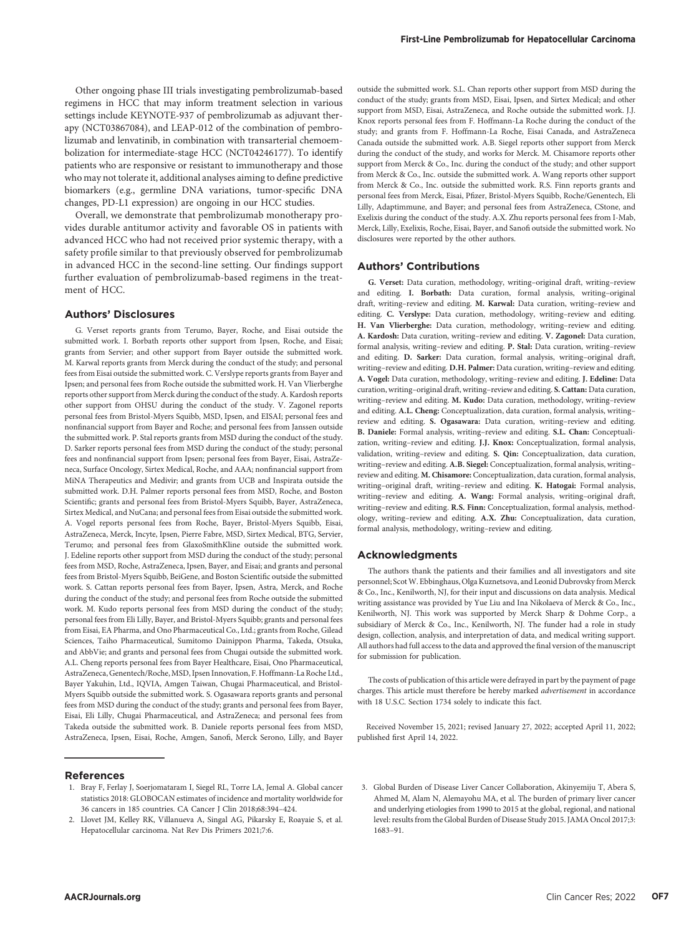Other ongoing phase III trials investigating pembrolizumab-based regimens in HCC that may inform treatment selection in various settings include KEYNOTE-937 of pembrolizumab as adjuvant therapy (NCT03867084), and LEAP-012 of the combination of pembrolizumab and lenvatinib, in combination with transarterial chemoembolization for intermediate-stage HCC (NCT04246177). To identify patients who are responsive or resistant to immunotherapy and those who may not tolerate it, additional analyses aiming to define predictive biomarkers (e.g., germline DNA variations, tumor-specific DNA changes, PD-L1 expression) are ongoing in our HCC studies.

Overall, we demonstrate that pembrolizumab monotherapy provides durable antitumor activity and favorable OS in patients with advanced HCC who had not received prior systemic therapy, with a safety profile similar to that previously observed for pembrolizumab in advanced HCC in the second-line setting. Our findings support further evaluation of pembrolizumab-based regimens in the treatment of HCC.

# Authors' Disclosures

G. Verset reports grants from Terumo, Bayer, Roche, and Eisai outside the submitted work. I. Borbath reports other support from Ipsen, Roche, and Eisai; grants from Servier; and other support from Bayer outside the submitted work. M. Karwal reports grants from Merck during the conduct of the study; and personal fees from Eisai outside the submitted work. C. Verslype reports grants from Bayer and Ipsen; and personal fees from Roche outside the submitted work. H. Van Vlierberghe reports other support from Merck during the conduct of the study. A. Kardosh reports other support from OHSU during the conduct of the study. V. Zagonel reports personal fees from Bristol-Myers Squibb, MSD, Ipsen, and EISAI; personal fees and nonfinancial support from Bayer and Roche; and personal fees from Janssen outside the submitted work. P. Stal reports grants from MSD during the conduct of the study. D. Sarker reports personal fees from MSD during the conduct of the study; personal fees and nonfinancial support from Ipsen; personal fees from Bayer, Eisai, AstraZeneca, Surface Oncology, Sirtex Medical, Roche, and AAA; nonfinancial support from MiNA Therapeutics and Medivir; and grants from UCB and Inspirata outside the submitted work. D.H. Palmer reports personal fees from MSD, Roche, and Boston Scientific; grants and personal fees from Bristol-Myers Squibb, Bayer, AstraZeneca, Sirtex Medical, and NuCana; and personal fees from Eisai outside the submitted work. A. Vogel reports personal fees from Roche, Bayer, Bristol-Myers Squibb, Eisai, AstraZeneca, Merck, Incyte, Ipsen, Pierre Fabre, MSD, Sirtex Medical, BTG, Servier, Terumo; and personal fees from GlaxoSmithKline outside the submitted work. J. Edeline reports other support from MSD during the conduct of the study; personal fees from MSD, Roche, AstraZeneca, Ipsen, Bayer, and Eisai; and grants and personal fees from Bristol-Myers Squibb, BeiGene, and Boston Scientific outside the submitted work. S. Cattan reports personal fees from Bayer, Ipsen, Astra, Merck, and Roche during the conduct of the study; and personal fees from Roche outside the submitted work. M. Kudo reports personal fees from MSD during the conduct of the study; personal fees from Eli Lilly, Bayer, and Bristol-Myers Squibb; grants and personal fees from Eisai, EA Pharma, and Ono Pharmaceutical Co., Ltd.; grants from Roche, Gilead Sciences, Taiho Pharmaceutical, Sumitomo Dainippon Pharma, Takeda, Otsuka, and AbbVie; and grants and personal fees from Chugai outside the submitted work. A.L. Cheng reports personal fees from Bayer Healthcare, Eisai, Ono Pharmaceutical, AstraZeneca, Genentech/Roche, MSD, Ipsen Innovation, F. Hoffmann-La Roche Ltd., Bayer Yakuhin, Ltd., IQVIA, Amgen Taiwan, Chugai Pharmaceutical, and Bristol-Myers Squibb outside the submitted work. S. Ogasawara reports grants and personal fees from MSD during the conduct of the study; grants and personal fees from Bayer, Eisai, Eli Lilly, Chugai Pharmaceutical, and AstraZeneca; and personal fees from Takeda outside the submitted work. B. Daniele reports personal fees from MSD, AstraZeneca, Ipsen, Eisai, Roche, Amgen, Sanofi, Merck Serono, Lilly, and Bayer

#### References

- 1. Bray F, Ferlay J, Soerjomataram I, Siegel RL, Torre LA, Jemal A. Global cancer statistics 2018: GLOBOCAN estimates of incidence and mortality worldwide for 36 cancers in 185 countries. CA Cancer J Clin 2018;68:394–424.
- 2. Llovet JM, Kelley RK, Villanueva A, Singal AG, Pikarsky E, Roayaie S, et al. Hepatocellular carcinoma. Nat Rev Dis Primers 2021;7:6.

outside the submitted work. S.L. Chan reports other support from MSD during the conduct of the study; grants from MSD, Eisai, Ipsen, and Sirtex Medical; and other support from MSD, Eisai, AstraZeneca, and Roche outside the submitted work. I.I. Knox reports personal fees from F. Hoffmann-La Roche during the conduct of the study; and grants from F. Hoffmann-La Roche, Eisai Canada, and AstraZeneca Canada outside the submitted work. A.B. Siegel reports other support from Merck during the conduct of the study, and works for Merck. M. Chisamore reports other support from Merck & Co., Inc. during the conduct of the study; and other support from Merck & Co., Inc. outside the submitted work. A. Wang reports other support from Merck & Co., Inc. outside the submitted work. R.S. Finn reports grants and personal fees from Merck, Eisai, Pfizer, Bristol-Myers Squibb, Roche/Genentech, Eli Lilly, Adaptimmune, and Bayer; and personal fees from AstraZeneca, CStone, and Exelixis during the conduct of the study. A.X. Zhu reports personal fees from I-Mab, Merck, Lilly, Exelixis, Roche, Eisai, Bayer, and Sanofi outside the submitted work. No disclosures were reported by the other authors.

#### Authors' Contributions

G. Verset: Data curation, methodology, writing–original draft, writing–review and editing. I. Borbath: Data curation, formal analysis, writing–original draft, writing–review and editing. M. Karwal: Data curation, writing–review and editing. C. Verslype: Data curation, methodology, writing–review and editing. H. Van Vlierberghe: Data curation, methodology, writing–review and editing. A. Kardosh: Data curation, writing–review and editing. V. Zagonel: Data curation, formal analysis, writing–review and editing. P. Stal: Data curation, writing–review and editing. D. Sarker: Data curation, formal analysis, writing–original draft, writing–review and editing. D.H. Palmer: Data curation, writing–review and editing. A. Vogel: Data curation, methodology, writing–review and editing. J. Edeline: Data curation, writing–original draft, writing–review and editing. S. Cattan: Data curation, writing–review and editing. M. Kudo: Data curation, methodology, writing–review and editing. A.L. Cheng: Conceptualization, data curation, formal analysis, writing– review and editing. S. Ogasawara: Data curation, writing–review and editing. B. Daniele: Formal analysis, writing–review and editing. S.L. Chan: Conceptualization, writing–review and editing. J.J. Knox: Conceptualization, formal analysis, validation, writing–review and editing. S. Qin: Conceptualization, data curation, writing–review and editing. A.B. Siegel: Conceptualization, formal analysis, writing– review and editing. M. Chisamore: Conceptualization, data curation, formal analysis, writing-original draft, writing-review and editing. K. Hatogai: Formal analysis, writing–review and editing. A. Wang: Formal analysis, writing–original draft, writing-review and editing. R.S. Finn: Conceptualization, formal analysis, methodology, writing–review and editing. A.X. Zhu: Conceptualization, data curation, formal analysis, methodology, writing–review and editing.

## Acknowledgments

The authors thank the patients and their families and all investigators and site personnel; ScotW. Ebbinghaus, Olga Kuznetsova, and Leonid Dubrovsky from Merck & Co., Inc., Kenilworth, NJ, for their input and discussions on data analysis. Medical writing assistance was provided by Yue Liu and Ina Nikolaeva of Merck & Co., Inc., Kenilworth, NJ. This work was supported by Merck Sharp & Dohme Corp., a subsidiary of Merck & Co., Inc., Kenilworth, NJ. The funder had a role in study design, collection, analysis, and interpretation of data, and medical writing support. All authors had full access to the data and approved the final version of the manuscript for submission for publication.

The costs of publication of this article were defrayed in part by the payment of page charges. This article must therefore be hereby marked advertisement in accordance with 18 U.S.C. Section 1734 solely to indicate this fact.

Received November 15, 2021; revised January 27, 2022; accepted April 11, 2022; published first April 14, 2022.

3. Global Burden of Disease Liver Cancer Collaboration, Akinyemiju T, Abera S, Ahmed M, Alam N, Alemayohu MA, et al. The burden of primary liver cancer and underlying etiologies from 1990 to 2015 at the global, regional, and national level: results from the Global Burden of Disease Study 2015. JAMA Oncol 2017;3: 1683–91.